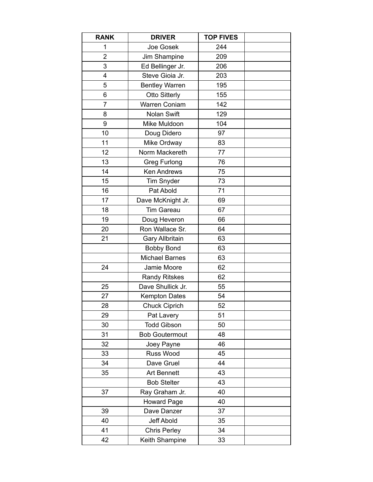| <b>RANK</b>    | <b>DRIVER</b>          | <b>TOP FIVES</b> |  |
|----------------|------------------------|------------------|--|
| 1              | Joe Gosek              | 244              |  |
| $\overline{2}$ | Jim Shampine           | 209              |  |
| 3              | Ed Bellinger Jr.       | 206              |  |
| 4              | Steve Gioia Jr.        | 203              |  |
| 5              | <b>Bentley Warren</b>  | 195              |  |
| 6              | <b>Otto Sitterly</b>   | 155              |  |
| $\overline{7}$ | Warren Coniam          | 142              |  |
| 8              | <b>Nolan Swift</b>     | 129              |  |
| 9              | Mike Muldoon           | 104              |  |
| 10             | Doug Didero            | 97               |  |
| 11             | Mike Ordway            | 83               |  |
| 12             | Norm Mackereth         | 77               |  |
| 13             | <b>Greg Furlong</b>    | 76               |  |
| 14             | <b>Ken Andrews</b>     | 75               |  |
| 15             | <b>Tim Snyder</b>      | 73               |  |
| 16             | Pat Abold              | 71               |  |
| 17             | Dave McKnight Jr.      | 69               |  |
| 18             | <b>Tim Gareau</b>      | 67               |  |
| 19             | Doug Heveron           | 66               |  |
| 20             | Ron Wallace Sr.        | 64               |  |
| 21             | <b>Gary Allbritain</b> | 63               |  |
|                | <b>Bobby Bond</b>      | 63               |  |
|                | <b>Michael Barnes</b>  | 63               |  |
| 24             | Jamie Moore            | 62               |  |
|                | <b>Randy Ritskes</b>   | 62               |  |
| 25             | Dave Shullick Jr.      | 55               |  |
| 27             | <b>Kempton Dates</b>   | 54               |  |
| 28             | <b>Chuck Ciprich</b>   | 52               |  |
| 29             | Pat Lavery             | 51               |  |
| 30             | <b>Todd Gibson</b>     | 50               |  |
| 31             | <b>Bob Goutermout</b>  | 48               |  |
| 32             | Joey Payne             | 46               |  |
| 33             | Russ Wood              | 45               |  |
| 34             | Dave Gruel             | 44               |  |
| 35             | <b>Art Bennett</b>     | 43               |  |
|                | <b>Bob Stelter</b>     | 43               |  |
| 37             | Ray Graham Jr.         | 40               |  |
|                | <b>Howard Page</b>     | 40               |  |
| 39             | Dave Danzer            | 37               |  |
| 40             | Jeff Abold             | 35               |  |
| 41             | <b>Chris Perley</b>    | 34               |  |
| 42             | Keith Shampine         | 33               |  |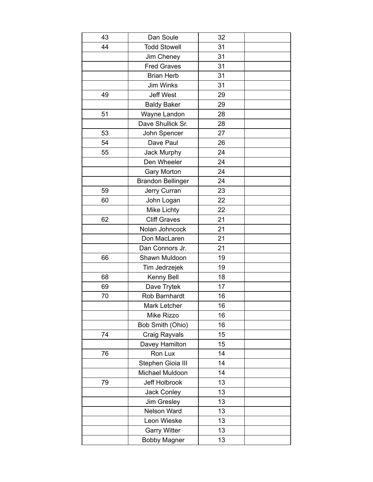| 43 | Dan Soule                | 32 |  |
|----|--------------------------|----|--|
| 44 | <b>Todd Stowell</b>      | 31 |  |
|    | Jim Cheney               | 31 |  |
|    | <b>Fred Graves</b>       | 31 |  |
|    | <b>Brian Herb</b>        | 31 |  |
|    | <b>Jim Winks</b>         | 31 |  |
| 49 | <b>Jeff West</b>         | 29 |  |
|    | <b>Baldy Baker</b>       | 29 |  |
| 51 | Wayne Landon             | 28 |  |
|    | Dave Shullick Sr.        | 28 |  |
| 53 | John Spencer             | 27 |  |
| 54 | Dave Paul                | 26 |  |
| 55 | Jack Murphy              | 24 |  |
|    | Den Wheeler              | 24 |  |
|    | <b>Gary Morton</b>       | 24 |  |
|    | <b>Brandon Bellinger</b> | 24 |  |
| 59 | Jerry Curran             | 23 |  |
| 60 | John Logan               | 22 |  |
|    | <b>Mike Lichty</b>       | 22 |  |
| 62 | <b>Cliff Graves</b>      | 21 |  |
|    | Nolan Johncock           | 21 |  |
|    | Don MacLaren             | 21 |  |
|    | Dan Connors Jr.          | 21 |  |
| 66 | Shawn Muldoon            | 19 |  |
|    | Tim Jedrzejek            | 19 |  |
| 68 | Kenny Bell               | 18 |  |
| 69 | Dave Trytek              | 17 |  |
| 70 | Rob Barnhardt            | 16 |  |
|    | Mark Letcher             | 16 |  |
|    | Mike Rizzo               | 16 |  |
|    | Bob Smith (Ohio)         | 16 |  |
| 74 | Craig Rayvals            | 15 |  |
|    | Davey Hamilton           | 15 |  |
| 76 | Ron Lux                  | 14 |  |
|    | Stephen Gioia III        | 14 |  |
|    | Michael Muldoon          | 14 |  |
| 79 | Jeff Holbrook            | 13 |  |
|    | Jack Conley              | 13 |  |
|    | Jim Gresley              | 13 |  |
|    | Nelson Ward              | 13 |  |
|    | Leon Wieske              | 13 |  |
|    | <b>Garry Witter</b>      | 13 |  |
|    | <b>Bobby Magner</b>      | 13 |  |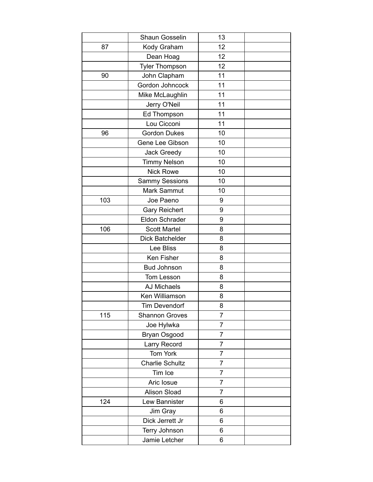|     | Shaun Gosselin         | 13             |  |
|-----|------------------------|----------------|--|
| 87  | Kody Graham            | 12             |  |
|     | Dean Hoag              | 12             |  |
|     | <b>Tyler Thompson</b>  | 12             |  |
| 90  | John Clapham           | 11             |  |
|     | Gordon Johncock        | 11             |  |
|     | Mike McLaughlin        | 11             |  |
|     | Jerry O'Neil           | 11             |  |
|     | Ed Thompson            | 11             |  |
|     | Lou Cicconi            | 11             |  |
| 96  | <b>Gordon Dukes</b>    | 10             |  |
|     | Gene Lee Gibson        | 10             |  |
|     | <b>Jack Greedy</b>     | 10             |  |
|     | <b>Timmy Nelson</b>    | 10             |  |
|     | <b>Nick Rowe</b>       | 10             |  |
|     | <b>Sammy Sessions</b>  | 10             |  |
|     | Mark Sammut            | 10             |  |
| 103 | Joe Paeno              | 9              |  |
|     | <b>Gary Reichert</b>   | 9              |  |
|     | Eldon Schrader         | 9              |  |
| 106 | <b>Scott Martel</b>    | 8              |  |
|     | Dick Batchelder        | 8              |  |
|     | Lee Bliss              | 8              |  |
|     | Ken Fisher             | 8              |  |
|     | <b>Bud Johnson</b>     | 8              |  |
|     | Tom Lesson             | 8              |  |
|     | <b>AJ Michaels</b>     | 8              |  |
|     | Ken Williamson         | 8              |  |
|     | <b>Tim Devendorf</b>   | 8              |  |
| 115 | <b>Shannon Groves</b>  | $\overline{7}$ |  |
|     | Joe Hylwka             | $\overline{7}$ |  |
|     | Bryan Osgood           | 7              |  |
|     | Larry Record           | $\overline{7}$ |  |
|     | Tom York               | 7              |  |
|     | <b>Charlie Schultz</b> | $\overline{7}$ |  |
|     | Tim Ice                | 7              |  |
|     | Aric Iosue             | $\overline{7}$ |  |
|     | Alison Sload           | 7              |  |
| 124 | Lew Bannister          | 6              |  |
|     | Jim Gray               | 6              |  |
|     | Dick Jerrett Jr        | 6              |  |
|     | Terry Johnson          | 6              |  |
|     | Jamie Letcher          | 6              |  |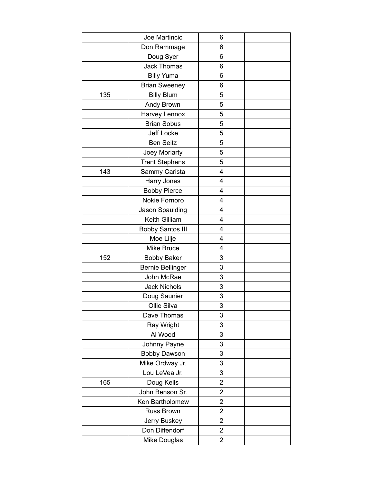|     | Joe Martincic           | 6                       |  |
|-----|-------------------------|-------------------------|--|
|     | Don Rammage             | 6                       |  |
|     | Doug Syer               | 6                       |  |
|     | <b>Jack Thomas</b>      | 6                       |  |
|     | <b>Billy Yuma</b>       | 6                       |  |
|     | <b>Brian Sweeney</b>    | 6                       |  |
| 135 | <b>Billy Blum</b>       | 5                       |  |
|     | Andy Brown              | 5                       |  |
|     | Harvey Lennox           | 5                       |  |
|     | <b>Brian Sobus</b>      | 5                       |  |
|     | Jeff Locke              | 5                       |  |
|     | <b>Ben Seitz</b>        | 5                       |  |
|     | Joey Moriarty           | 5                       |  |
|     | <b>Trent Stephens</b>   | 5                       |  |
| 143 | Sammy Carista           | $\overline{4}$          |  |
|     | Harry Jones             | 4                       |  |
|     | <b>Bobby Pierce</b>     | $\overline{4}$          |  |
|     | Nokie Fornoro           | 4                       |  |
|     | Jason Spaulding         | 4                       |  |
|     | Keith Gilliam           | 4                       |  |
|     | <b>Bobby Santos III</b> | 4                       |  |
|     | Moe Lilje               | 4                       |  |
|     | <b>Mike Bruce</b>       | 4                       |  |
| 152 | <b>Bobby Baker</b>      | 3                       |  |
|     | <b>Bernie Bellinger</b> | 3                       |  |
|     | John McRae              | 3                       |  |
|     | <b>Jack Nichols</b>     | 3                       |  |
|     | Doug Saunier            | 3                       |  |
|     | Ollie Silva             | 3                       |  |
|     | Dave Thomas             | 3                       |  |
|     | Ray Wright              | 3                       |  |
|     | Al Wood                 | 3                       |  |
|     | Johnny Payne            | 3                       |  |
|     | <b>Bobby Dawson</b>     | 3                       |  |
|     | Mike Ordway Jr.         | 3                       |  |
|     | Lou LeVea Jr.           | 3                       |  |
| 165 | Doug Kells              | $\overline{\mathbf{c}}$ |  |
|     | John Benson Sr.         | $\overline{2}$          |  |
|     | Ken Bartholomew         | $\overline{c}$          |  |
|     | Russ Brown              | $\overline{2}$          |  |
|     | Jerry Buskey            | $\overline{2}$          |  |
|     | Don Diffendorf          | $\overline{\mathbf{c}}$ |  |
|     | Mike Douglas            | $\overline{2}$          |  |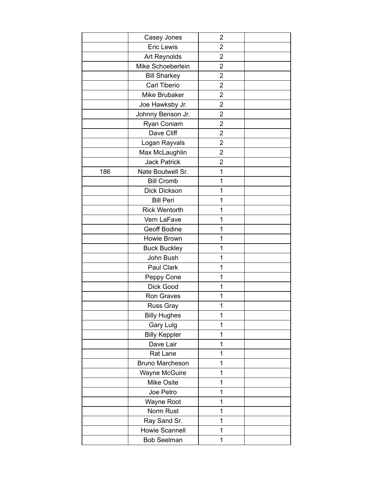|     | Casey Jones            | $\overline{2}$          |  |
|-----|------------------------|-------------------------|--|
|     | <b>Eric Lewis</b>      | $\overline{\mathbf{c}}$ |  |
|     | Art Reynolds           | $\overline{2}$          |  |
|     | Mike Schoeberlein      | $\overline{2}$          |  |
|     | <b>Bill Sharkey</b>    | $\overline{2}$          |  |
|     | Carl Tiberio           | $\overline{2}$          |  |
|     | Mike Brubaker          | $\overline{2}$          |  |
|     | Joe Hawksby Jr.        | $\overline{2}$          |  |
|     | Johnny Benson Jr.      | $\overline{2}$          |  |
|     | Ryan Coniam            | $\overline{2}$          |  |
|     | Dave Cliff             | $\overline{2}$          |  |
|     | Logan Rayvals          | $\overline{2}$          |  |
|     | Max McLaughlin         | $\overline{c}$          |  |
|     | <b>Jack Patrick</b>    | $\overline{2}$          |  |
| 186 | Nate Boutwell Sr.      | 1                       |  |
|     | <b>Bill Cromb</b>      | 1                       |  |
|     | Dick Dickson           | 1                       |  |
|     | <b>Bill Peri</b>       | 1                       |  |
|     | <b>Rick Wentorth</b>   | 1                       |  |
|     | Vern LaFave            | 1                       |  |
|     | Geoff Bodine           | 1                       |  |
|     | Howie Brown            | 1                       |  |
|     | <b>Buck Buckley</b>    | 1                       |  |
|     | John Bush              | 1                       |  |
|     | Paul Clark             | 1                       |  |
|     | Peppy Cone             | 1                       |  |
|     | Dick Good              | 1                       |  |
|     | Ron Graves             | 1                       |  |
|     | Russ Gray              | 1                       |  |
|     | <b>Billy Hughes</b>    | 1                       |  |
|     | Gary Lulg              | 1                       |  |
|     | <b>Billy Keppler</b>   | 1                       |  |
|     | Dave Lair              | 1                       |  |
|     | Rat Lane               | 1                       |  |
|     | <b>Bruno Marcheson</b> | 1                       |  |
|     | Wayne McGuire          | 1                       |  |
|     | Mike Osite             | 1                       |  |
|     | Joe Petro              | 1                       |  |
|     | Wayne Root             | 1                       |  |
|     | Norm Rust              | 1                       |  |
|     | Ray Sand Sr.           | 1                       |  |
|     | Howie Scannell         | 1                       |  |
|     | <b>Bob Seelman</b>     | 1                       |  |
|     |                        |                         |  |